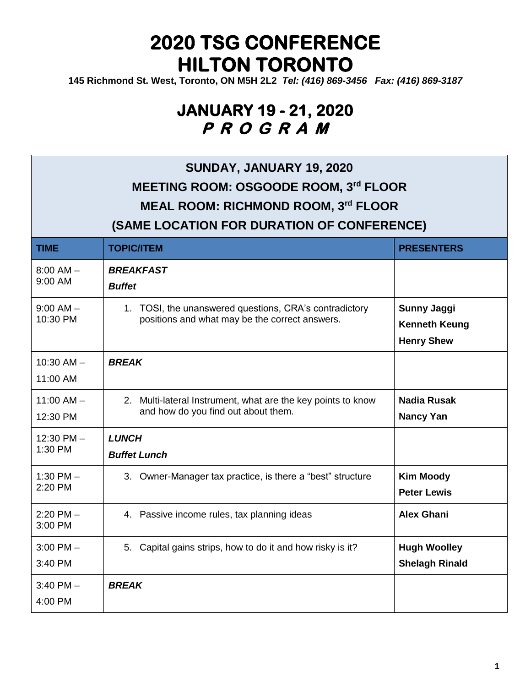**145 Richmond St. West, Toronto, ON M5H 2L2** *[Tel: \(416\)](tel:(416)) 869-3456 Fax: (416) 869-3187*

| SUNDAY, JANUARY 19, 2020<br>MEETING ROOM: OSGOODE ROOM, 3rd FLOOR<br><b>MEAL ROOM: RICHMOND ROOM, 3rd FLOOR</b><br>(SAME LOCATION FOR DURATION OF CONFERENCE) |                                                                                                          |                                                                 |  |
|---------------------------------------------------------------------------------------------------------------------------------------------------------------|----------------------------------------------------------------------------------------------------------|-----------------------------------------------------------------|--|
| <b>TIME</b>                                                                                                                                                   | <b>TOPIC/ITEM</b>                                                                                        | <b>PRESENTERS</b>                                               |  |
| $8:00$ AM $-$<br>9:00 AM                                                                                                                                      | <b>BREAKFAST</b><br><b>Buffet</b>                                                                        |                                                                 |  |
| $9:00$ AM $-$<br>10:30 PM                                                                                                                                     | 1. TOSI, the unanswered questions, CRA's contradictory<br>positions and what may be the correct answers. | <b>Sunny Jaggi</b><br><b>Kenneth Keung</b><br><b>Henry Shew</b> |  |
| $10:30$ AM $-$<br>11:00 AM                                                                                                                                    | <b>BREAK</b>                                                                                             |                                                                 |  |
| $11:00$ AM $-$<br>12:30 PM                                                                                                                                    | 2. Multi-lateral Instrument, what are the key points to know<br>and how do you find out about them.      | <b>Nadia Rusak</b><br><b>Nancy Yan</b>                          |  |
| $12:30$ PM $-$<br>1:30 PM                                                                                                                                     | <b>LUNCH</b><br><b>Buffet Lunch</b>                                                                      |                                                                 |  |
| 1:30 PM $-$<br>2:20 PM                                                                                                                                        | 3. Owner-Manager tax practice, is there a "best" structure                                               | <b>Kim Moody</b><br><b>Peter Lewis</b>                          |  |
| $2:20$ PM $-$<br>3:00 PM                                                                                                                                      | 4. Passive income rules, tax planning ideas                                                              | <b>Alex Ghani</b>                                               |  |
| $3:00$ PM $-$<br>3:40 PM                                                                                                                                      | 5. Capital gains strips, how to do it and how risky is it?                                               | <b>Hugh Woolley</b><br><b>Shelagh Rinald</b>                    |  |
| $3:40$ PM $-$<br>4:00 PM                                                                                                                                      | <b>BREAK</b>                                                                                             |                                                                 |  |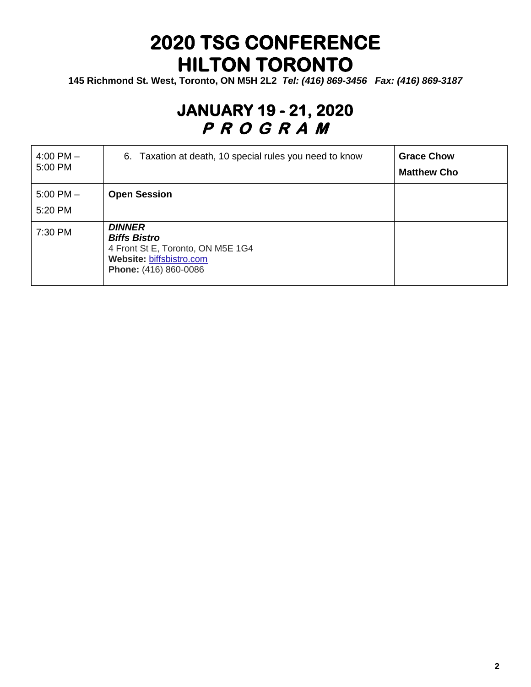**145 Richmond St. West, Toronto, ON M5H 2L2** *[Tel: \(416\)](tel:(416)) 869-3456 Fax: (416) 869-3187*

| 4:00 PM $-$<br>5:00 PM   | 6. Taxation at death, 10 special rules you need to know                                                                        | <b>Grace Chow</b><br><b>Matthew Cho</b> |
|--------------------------|--------------------------------------------------------------------------------------------------------------------------------|-----------------------------------------|
| $5:00$ PM $-$<br>5:20 PM | <b>Open Session</b>                                                                                                            |                                         |
| 7:30 PM                  | <b>DINNER</b><br><b>Biffs Bistro</b><br>4 Front St E, Toronto, ON M5E 1G4<br>Website: biffsbistro.com<br>Phone: (416) 860-0086 |                                         |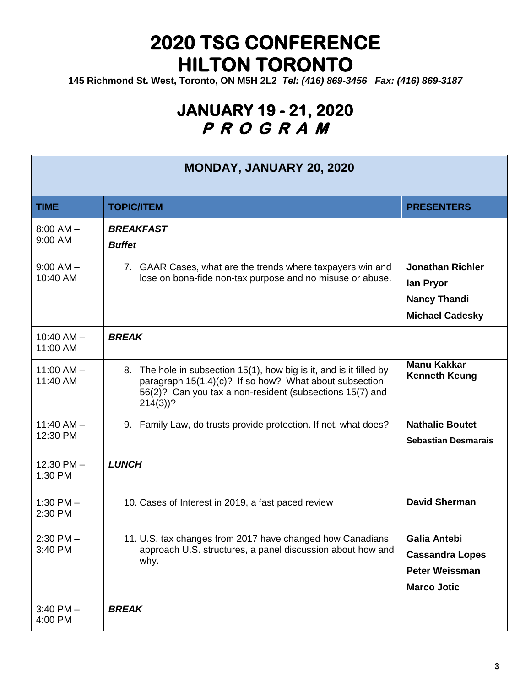**145 Richmond St. West, Toronto, ON M5H 2L2** *[Tel: \(416\)](tel:(416)) 869-3456 Fax: (416) 869-3187*

| <b>MONDAY, JANUARY 20, 2020</b> |                                                                                                                                                                                                         |                                                                                              |
|---------------------------------|---------------------------------------------------------------------------------------------------------------------------------------------------------------------------------------------------------|----------------------------------------------------------------------------------------------|
| <b>TIME</b>                     | <b>TOPIC/ITEM</b>                                                                                                                                                                                       | <b>PRESENTERS</b>                                                                            |
| $8:00$ AM $-$<br>9:00 AM        | <b>BREAKFAST</b><br><b>Buffet</b>                                                                                                                                                                       |                                                                                              |
| $9:00$ AM $-$<br>10:40 AM       | 7. GAAR Cases, what are the trends where taxpayers win and<br>lose on bona-fide non-tax purpose and no misuse or abuse.                                                                                 | <b>Jonathan Richler</b><br>lan Pryor<br><b>Nancy Thandi</b><br><b>Michael Cadesky</b>        |
| $10:40$ AM $-$<br>11:00 AM      | <b>BREAK</b>                                                                                                                                                                                            |                                                                                              |
| $11:00$ AM $-$<br>11:40 AM      | 8. The hole in subsection 15(1), how big is it, and is it filled by<br>paragraph 15(1.4)(c)? If so how? What about subsection<br>56(2)? Can you tax a non-resident (subsections 15(7) and<br>$214(3)$ ? | <b>Manu Kakkar</b><br><b>Kenneth Keung</b>                                                   |
| $11:40$ AM $-$<br>12:30 PM      | 9. Family Law, do trusts provide protection. If not, what does?                                                                                                                                         | <b>Nathalie Boutet</b><br><b>Sebastian Desmarais</b>                                         |
| $12:30$ PM $-$<br>1:30 PM       | <b>LUNCH</b>                                                                                                                                                                                            |                                                                                              |
| 1:30 PM $-$<br>2:30 PM          | 10. Cases of Interest in 2019, a fast paced review                                                                                                                                                      | <b>David Sherman</b>                                                                         |
| $2:30$ PM $-$<br>3:40 PM        | 11. U.S. tax changes from 2017 have changed how Canadians<br>approach U.S. structures, a panel discussion about how and<br>why.                                                                         | <b>Galia Antebi</b><br><b>Cassandra Lopes</b><br><b>Peter Weissman</b><br><b>Marco Jotic</b> |
| $3:40$ PM $-$<br>4:00 PM        | <b>BREAK</b>                                                                                                                                                                                            |                                                                                              |